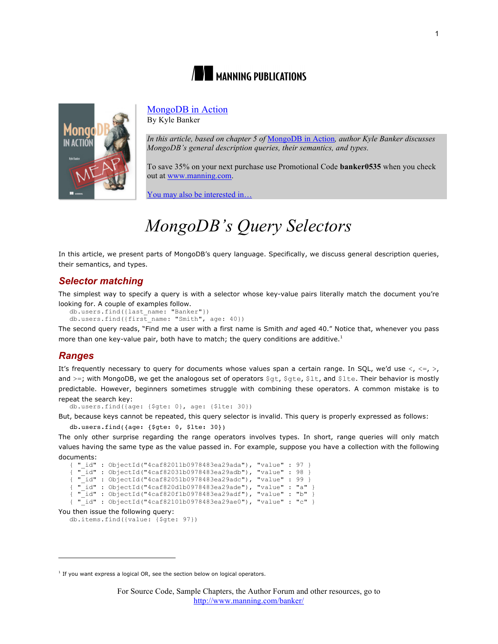



# MongoDB in Action

By Kyle Banker

*In this article, based on chapter 5 of* MongoDB in Action*, author Kyle Banker discusses MongoDB's general description queries, their semantics, and types.*

To save 35% on your next purchase use Promotional Code **banker0535** when you check out at www.manning.com.

You may also be interested in…

# *MongoDB' s Query Selectors*

In this article, we present parts of MongoDB's query language. Specifically, we discuss general description queries, their semantics, and types.

## *Selector matching*

The simplest way to specify a query is with a selector whose key-value pairs literally match the document you're looking for. A couple of examples follow.

```
db.users.find({last_name: "Banker"})
db.users.find({first_name: "Smith", age: 40})
```
The second query reads, "Find me a user with a first name is Smith *and* aged 40." Notice that, whenever you pass more than one key-value pair, both have to match; the query conditions are additive.<sup>1</sup>

## *Ranges*

 $\overline{a}$ 

It's frequently necessary to query for documents whose values span a certain range. In SQL, we'd use  $\langle, \langle =, \rangle,$ and >=; with MongoDB, we get the analogous set of operators \$gt, \$gte, \$1t, and \$1te. Their behavior is mostly predictable. However, beginners sometimes struggle with combining these operators. A common mistake is to repeat the search key:

db.users.find({age: {\$gte: 0}, age: {\$lte: 30})

But, because keys cannot be repeated, this query selector is invalid. This query is properly expressed as follows:

```
db.users.find({age: {$gte: 0, $lte: 30})
```
The only other surprise regarding the range operators involves types. In short, range queries will only match values having the same type as the value passed in. For example, suppose you have a collection with the following documents:

```
{\sf "id" : ObjectId("4caf82011b0978483ea29ada"); "value" : 97 }<br>"id" : ObjectId("4caf82011b0978483ea29ada"), "value" : 97 }
    \overline{\begin{bmatrix} 1d'' : 0bjectId("4caf82031b0978483ea29adb'') \end{bmatrix}}, "value" : 98 }
 " id" : ObjectId("4caf82051b0978483ea29adc"), "value" : 99 }
{ "_id" : ObjectId("4caf820d1b0978483ea29ade"), "value" : "a" }
{ "_id" : ObjectId("4caf820f1b0978483ea29adf"), "value" : "b" }
{ "_id" : ObjectId("4caf82101b0978483ea29ae0"), "value" : "c" }
```
You then issue the following query:

db.items.find({value: {\$gte: 97})

 $1$  If you want express a logical OR, see the section below on logical operators.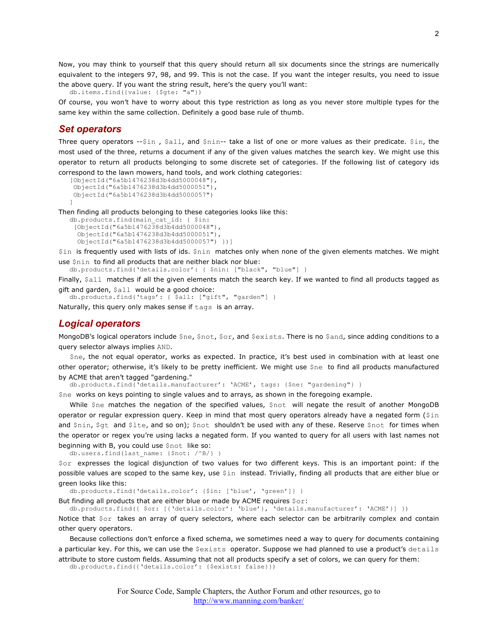Now, you may think to yourself that this query should return all six documents since the strings are numerically equivalent to the integers 97, 98, and 99. This is not the case. If you want the integer results, you need to issue the above query. If you want the string result, here's the query you'll want:

db.items.find({value: {\$gte: "a"})

Of course, you won't have to worry about this type restriction as long as you never store multiple types for the same key within the same collection. Definitely a good base rule of thumb.

#### *Set operators*

Three query operators  $-5in$ ,  $$all$ , and  $$nin-$  take a list of one or more values as their predicate.  $$in$ , the most used of the three, returns a document if any of the given values matches the search key. We might use this operator to return all products belonging to some discrete set of categories. If the following list of category ids correspond to the lawn mowers, hand tools, and work clothing categories:

```
[ObjectId("6a5b1476238d3b4dd5000048"),
ObjectId("6a5b1476238d3b4dd5000051"),
ObjectId("6a5b1476238d3b4dd5000057")
]
```
Then finding all products belonging to these categories looks like this:

```
db.products.find(main_cat_id: { $in:
 [ObjectId("6a5b1476238d3b4dd5000048"),
   ObjectId("6a5b1476238d3b4dd5000051"),
   ObjectId("6a5b1476238d3b4dd5000057") })]
```
\$in is frequently used with lists of ids. \$nin matches only when none of the given elements matches. We might use \$nin to find all products that are neither black nor blue:

db.products.find('details.color': { \$nin: ["black", "blue"] }

Finally, \$all matches if all the given elements match the search key. If we wanted to find all products tagged as gift and garden, \$all would be a good choice:

```
db.products.find('tags': { $all: ["gift", "garden"] }
```
Naturally, this query only makes sense if tags is an array.

#### *Logical operators*

MongoDB's logical operators include \$ne, \$not, \$or, and \$exists. There is no \$and, since adding conditions to a query selector always implies AND.

\$ne, the not equal operator, works as expected. In practice, it's best used in combination with at least one other operator; otherwise, it's likely to be pretty inefficient. We might use \$ne to find all products manufactured by ACME that aren't tagged "gardening."

db.products.find('details.manufacturer': 'ACME', tags: {\$ne: "gardening"} }

\$ne works on keys pointing to single values and to arrays, as shown in the foregoing example.

While \$ne matches the negation of the specified values, \$not will negate the result of another MongoDB operator or regular expression query. Keep in mind that most query operators already have a negated form (\$in and \$nin, \$gt and \$lte, and so on); \$not shouldn't be used with any of these. Reserve \$not for times when the operator or regex you're using lacks a negated form. If you wanted to query for all users with last names not beginning with B, you could use \$not like so:

db.users.find(last\_name: {\$not: /^B/} }

\$or expresses the logical disjunction of two values for two different keys. This is an important point: if the possible values are scoped to the same key, use \$in instead. Trivially, finding all products that are either blue or green looks like this:

db.products.find('details.color': {\$in: ['blue', 'green']} }

But finding all products that are either blue or made by ACME requires  $\zeta$ or:

db.products.find({ \$or: [{'details.color': 'blue'}, 'details.manufacturer': 'ACME'}] })

Notice that \$or takes an array of query selectors, where each selector can be arbitrarily complex and contain other query operators.

Because collections don't enforce a fixed schema, we sometimes need a way to query for documents containing a particular key. For this, we can use the Sexists operator. Suppose we had planned to use a product's details attribute to store custom fields. Assuming that not all products specify a set of colors, we can query for them:

db.products.find({'details.color': {\$exists: false}})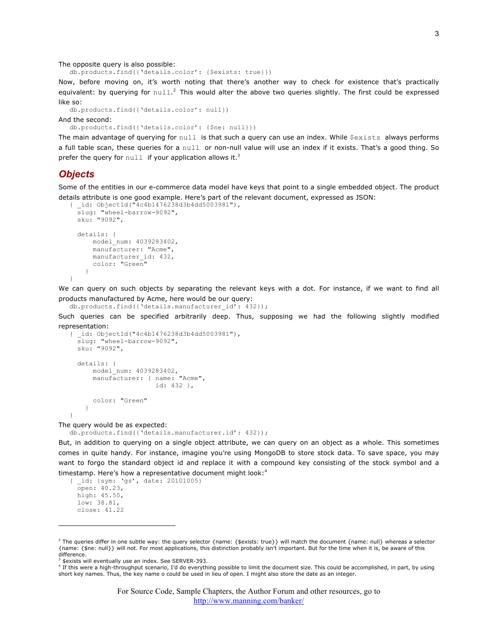The opposite query is also possible:

db.products.find({'details.color': {\$exists: true}})

Now, before moving on, it's worth noting that there's another way to check for existence that's practically equivalent: by querying for  $null.^2$  This would alter the above two queries slightly. The first could be expressed like so:

```
db.products.find({'details.color': null})
```
And the second:

db.products.find({'details.color': {\$ne: null}})

The main advantage of querying for  $null$  is that such a query can use an index. While  $\S$ exists always performs a full table scan, these queries for a null or non-null value will use an index if it exists. That's a good thing. So prefer the query for  $null$  if your application allows it.<sup>3</sup>

#### *Objects*

Some of the entities in our e-commerce data model have keys that point to a single embedded object. The product details attribute is one good example. Here's part of the relevant document, expressed as JSON:

```
{ _id: ObjectId("4c4b1476238d3b4dd5003981"),
   slug: "wheel-barrow-9092",
  sku: "9092",
  details: {
       model_num: 4039283402,
       manufacturer: "Acme",
     manufacturer id: 432,
       color: "Green"
     }
}
```
We can query on such objects by separating the relevant keys with a dot. For instance, if we want to find all products manufactured by Acme, here would be our query:

```
db.products.find({'details.manufacturer_id': 432});
```
Such queries can be specified arbitrarily deep. Thus, supposing we had the following slightly modified representation:

```
{ _id: ObjectId("4c4b1476238d3b4dd5003981"),
   slug: "wheel-barrow-9092",
   sku: "9092",
  details: {
       model_num: 4039283402,
       manufacturer: { name: "Acme",
                        id: 432 },
       color: "Green"
     }
}
```
The query would be as expected:

db.products.find({'details.manufacturer.id': 432});

But, in addition to querying on a single object attribute, we can query on an object as a whole. This sometimes comes in quite handy. For instance, imagine you're using MongoDB to store stock data. To save space, you may want to forgo the standard object id and replace it with a compound key consisting of the stock symbol and a timestamp. Here's how a representative document might look:<sup>4</sup>

{ \_id: {sym: 'gs', date: 20101005} open: 40.23, high: 45.50, low: 38.81, close: 41.22

 $\overline{a}$ 

<sup>4</sup> If this were a high-throughput scenario, I'd do everything possible to limit the document size. This could be accomplished, in part, by using short key names. Thus, the key name o could be used in lieu of open. I might also store the date as an integer.

<sup>&</sup>lt;sup>2</sup> The queries differ in one subtle way: the query selector {name: {\$exists: true}} will match the document {name: null} whereas a selector {name: {\$ne: null}} will not. For most applications, this distinction probably isn't important. But for the time when it is, be aware of this difference.

<sup>3</sup> \$exists will eventually use an index. See SERVER-393.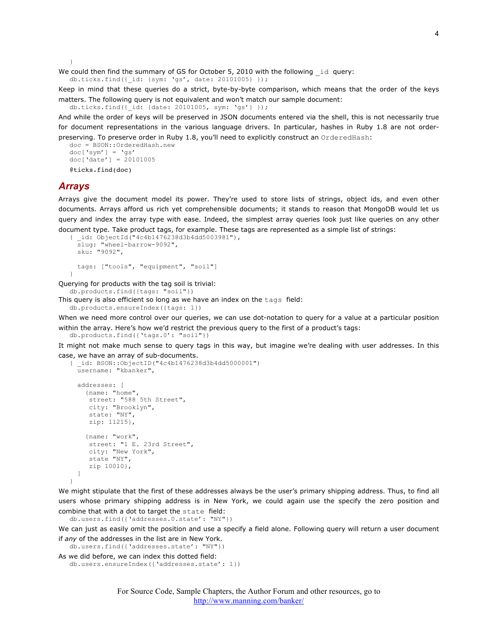}

We could then find the summary of GS for October 5, 2010 with the following id query: db.ticks.find({\_id: {sym: 'gs', date: 20101005} });

Keep in mind that these queries do a strict, byte-by-byte comparison, which means that the order of the keys matters. The following query is not equivalent and won't match our sample document:

```
db.ticks.find({_id: {date: 20101005, sym: 'gs'} });
```
And while the order of keys will be preserved in JSON documents entered via the shell, this is not necessarily true for document representations in the various language drivers. In particular, hashes in Ruby 1.8 are not orderpreserving. To preserve order in Ruby 1.8, you'll need to explicitly construct an OrderedHash:

```
doc = BSON::OrderedHash.new
doc['sym'] = 'gs'
doc['date'] = 20101005
@ticks.find(doc)
```
#### *Arrays*

Arrays give the document model its power. They're used to store lists of strings, object ids, and even other documents. Arrays afford us rich yet comprehensible documents; it stands to reason that MongoDB would let us query and index the array type with ease. Indeed, the simplest array queries look just like queries on any other document type. Take product tags, for example. These tags are represented as a simple list of strings:

```
{ _id: ObjectId("4c4b1476238d3b4dd5003981"),
  slug: "wheel-barrow-9092",
  sku: "9092",
  tags: ["tools", "equipment", "soil"]
}
```
Querying for products with the tag soil is trivial:

db.products.find({tags: "soil"})

This query is also efficient so long as we have an index on the tags field: db.products.ensureIndex({tags: 1})

When we need more control over our queries, we can use dot-notation to query for a value at a particular position within the array. Here's how we'd restrict the previous query to the first of a product's tags: db.products.find({'tags.0': "soil"})

It might not make much sense to query tags in this way, but imagine we're dealing with user addresses. In this

case, we have an array of sub-documents.

```
{ _id: BSON::ObjectID("4c4b1476238d3b4dd5000001")
  username: "kbanker",
   addresses: [
    {name: "home",
      street: "588 5th Street",
     city: "Brooklyn",
     state: "NY",
     zip: 11215},
     {name: "work",
     street: "1 E. 23rd Street",
      city: "New York",
      state "NY",
      zip 10010},
  ]
}
```
We might stipulate that the first of these addresses always be the user's primary shipping address. Thus, to find all users whose primary shipping address is in New York, we could again use the specify the zero position and combine that with a dot to target the state field:

db.users.find({'addresses.0.state': "NY"})

We can just as easily omit the position and use a specify a field alone. Following query will return a user document if *any* of the addresses in the list are in New York.

```
db.users.find({'addresses.state': "NY"})
As we did before, we can index this dotted field:
```

```
db.users.ensureIndex({'addresses.state': 1})
```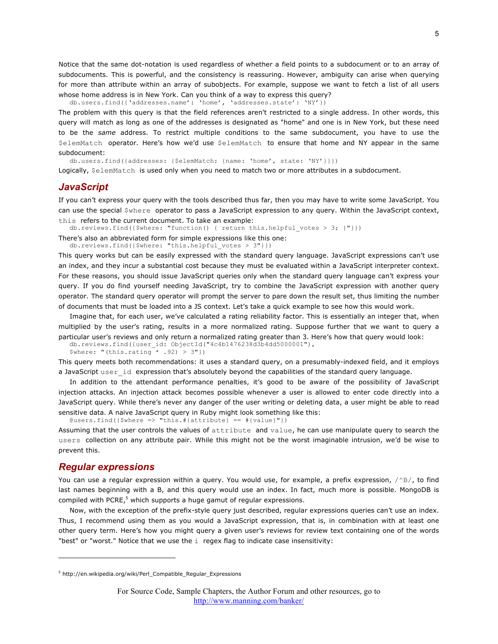Notice that the same dot-notation is used regardless of whether a field points to a subdocument or to an array of subdocuments. This is powerful, and the consistency is reassuring. However, ambiguity can arise when querying for more than attribute within an array of subobjects. For example, suppose we want to fetch a list of all users whose home address is in New York. Can you think of a way to express this query?

db.users.find({'addresses.name': 'home', 'addresses.state': 'NY'})

The problem with this query is that the field references aren't restricted to a single address. In other words, this query will match as long as one of the addresses is designated as "home" and one is in New York, but these need to be the *same* address. To restrict multiple conditions to the same subdocument, you have to use the \$elemMatch operator. Here's how we'd use \$elemMatch to ensure that home and NY appear in the same subdocument:

db.users.find({addresses: {\$elemMatch: {name: 'home', state: 'NY'}}})

Logically, \$elemMatch is used only when you need to match two or more attributes in a subdocument.

#### *JavaScript*

If you can't express your query with the tools described thus far, then you may have to write some JavaScript. You can use the special \$where operator to pass a JavaScript expression to any query. Within the JavaScript context, this refers to the current document. To take an example:

db.reviews.find({\$where: "function() { return this.helpful votes > 3; }"}})

There's also an abbreviated form for simple expressions like this one:

db.reviews.find({\$where: "this.helpful\_votes > 3"}})

This query works but can be easily expressed with the standard query language. JavaScript expressions can't use an index, and they incur a substantial cost because they must be evaluated within a JavaScript interpreter context. For these reasons, you should issue JavaScript queries only when the standard query language can't express your query. If you do find yourself needing JavaScript, try to combine the JavaScript expression with another query operator. The standard query operator will prompt the server to pare down the result set, thus limiting the number of documents that must be loaded into a JS context. Let's take a quick example to see how this would work.

Imagine that, for each user, we've calculated a rating reliability factor. This is essentially an integer that, when multiplied by the user's rating, results in a more normalized rating. Suppose further that we want to query a particular user's reviews and only return a normalized rating greater than 3. Here's how that query would look:

db.reviews.find({user\_id: ObjectId("4c4b1476238d3b4dd5000001"),  $$where: "(this.rating * .92) > 3"})$ 

This query meets both recommendations: it uses a standard query, on a presumably-indexed field, and it employs a JavaScript user id expression that's absolutely beyond the capabilities of the standard query language.

In addition to the attendant performance penalties, it's good to be aware of the possibility of JavaScript injection attacks. An injection attack becomes possible whenever a user is allowed to enter code directly into a JavaScript query. While there's never any danger of the user writing or deleting data, a user might be able to read sensitive data. A naive JavaScript query in Ruby might look something like this:

 $\texttt{Qusers.find}({\text{\{}}\$where => "this.*\{attribute\} == \#{value}\})$ 

Assuming that the user controls the values of attribute and value, he can use manipulate query to search the users collection on any attribute pair. While this might not be the worst imaginable intrusion, we'd be wise to prevent this.

#### *Regular expressions*

 $\overline{a}$ 

You can use a regular expression within a query. You would use, for example, a prefix expression,  $/^{\wedge}B/$ , to find last names beginning with a B, and this query would use an index. In fact, much more is possible. MongoDB is compiled with PCRE, $5$  which supports a huge gamut of regular expressions.

Now, with the exception of the prefix-style query just described, regular expressions queries can't use an index. Thus, I recommend using them as you would a JavaScript expression, that is, in combination with at least one other query term. Here's how you might query a given user's reviews for review text containing one of the words "best" or "worst." Notice that we use the  $\pm$  regex flag to indicate case insensitivity:

<sup>5</sup> http://en.wikipedia.org/wiki/Perl\_Compatible\_Regular\_Expressions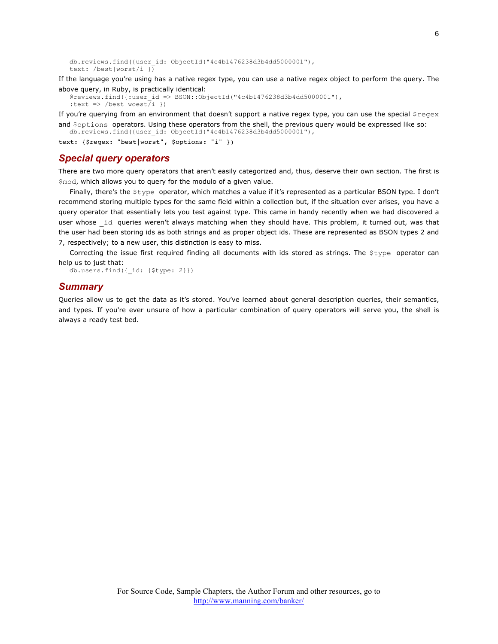```
db.reviews.find({user_id: ObjectId("4c4b1476238d3b4dd5000001"),
text: /best|worst/i })
```
If the language you're using has a native regex type, you can use a native regex object to perform the query. The above query, in Ruby, is practically identical:

```
@reviews.find({:user_id => BSON::ObjectId("4c4b1476238d3b4dd5000001"),
:text => /best|woest(i)})
```
If you're querying from an environment that doesn't support a native regex type, you can use the special  $$r=gex$ and \$options operators. Using these operators from the shell, the previous query would be expressed like so:

```
db.reviews.find({user_id: ObjectId("4c4b1476238d3b4dd5000001"),
```
text: {\$regex: "best|worst", \$options: "i" })

## *Special query operators*

There are two more query operators that aren't easily categorized and, thus, deserve their own section. The first is \$mod, which allows you to query for the modulo of a given value.

Finally, there's the \$type operator, which matches a value if it's represented as a particular BSON type. I don't recommend storing multiple types for the same field within a collection but, if the situation ever arises, you have a query operator that essentially lets you test against type. This came in handy recently when we had discovered a user whose id queries weren't always matching when they should have. This problem, it turned out, was that the user had been storing ids as both strings and as proper object ids. These are represented as BSON types 2 and 7, respectively; to a new user, this distinction is easy to miss.

Correcting the issue first required finding all documents with ids stored as strings. The \$type operator can help us to just that:

db.users.find({\_id: {\$type: 2}})

#### *Summary*

Queries allow us to get the data as it's stored. You've learned about general description queries, their semantics, and types. If you're ever unsure of how a particular combination of query operators will serve you, the shell is always a ready test bed.